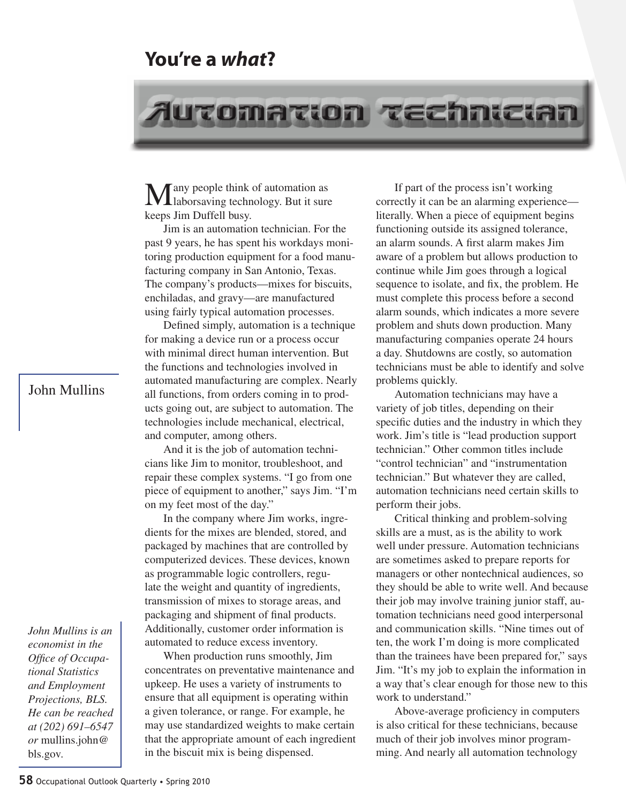## **You're a** *what***?**

## Automation technician

Tany people think of automation as laborsaving technology. But it sure keeps Jim Duffell busy.

Jim is an automation technician. For the past 9 years, he has spent his workdays monitoring production equipment for a food manufacturing company in San Antonio, Texas. The company's products—mixes for biscuits, enchiladas, and gravy—are manufactured using fairly typical automation processes.

Defined simply, automation is a technique for making a device run or a process occur with minimal direct human intervention. But the functions and technologies involved in automated manufacturing are complex. Nearly all functions, from orders coming in to products going out, are subject to automation. The technologies include mechanical, electrical, and computer, among others.

And it is the job of automation technicians like Jim to monitor, troubleshoot, and repair these complex systems. "I go from one piece of equipment to another," says Jim. "I'm on my feet most of the day."

In the company where Jim works, ingredients for the mixes are blended, stored, and packaged by machines that are controlled by computerized devices. These devices, known as programmable logic controllers, regulate the weight and quantity of ingredients, transmission of mixes to storage areas, and packaging and shipment of final products. Additionally, customer order information is automated to reduce excess inventory.

When production runs smoothly, Jim concentrates on preventative maintenance and upkeep. He uses a variety of instruments to ensure that all equipment is operating within a given tolerance, or range. For example, he may use standardized weights to make certain that the appropriate amount of each ingredient in the biscuit mix is being dispensed.

If part of the process isn't working correctly it can be an alarming experience literally. When a piece of equipment begins functioning outside its assigned tolerance, an alarm sounds. A first alarm makes Jim aware of a problem but allows production to continue while Jim goes through a logical sequence to isolate, and fix, the problem. He must complete this process before a second alarm sounds, which indicates a more severe problem and shuts down production. Many manufacturing companies operate 24 hours a day. Shutdowns are costly, so automation technicians must be able to identify and solve problems quickly.

Automation technicians may have a variety of job titles, depending on their specific duties and the industry in which they work. Jim's title is "lead production support technician." Other common titles include "control technician" and "instrumentation technician." But whatever they are called, automation technicians need certain skills to perform their jobs.

Critical thinking and problem-solving skills are a must, as is the ability to work well under pressure. Automation technicians are sometimes asked to prepare reports for managers or other nontechnical audiences, so they should be able to write well. And because their job may involve training junior staff, automation technicians need good interpersonal and communication skills. "Nine times out of ten, the work I'm doing is more complicated than the trainees have been prepared for," says Jim. "It's my job to explain the information in a way that's clear enough for those new to this work to understand."

Above-average proficiency in computers is also critical for these technicians, because much of their job involves minor programming. And nearly all automation technology

John Mullins

*economist in the Office of Occupational Statistics and Employment Projections, BLS. He can be reached at (202) 691–6547 or* mullins.john@ bls.gov*.*

*John Mullins is an*